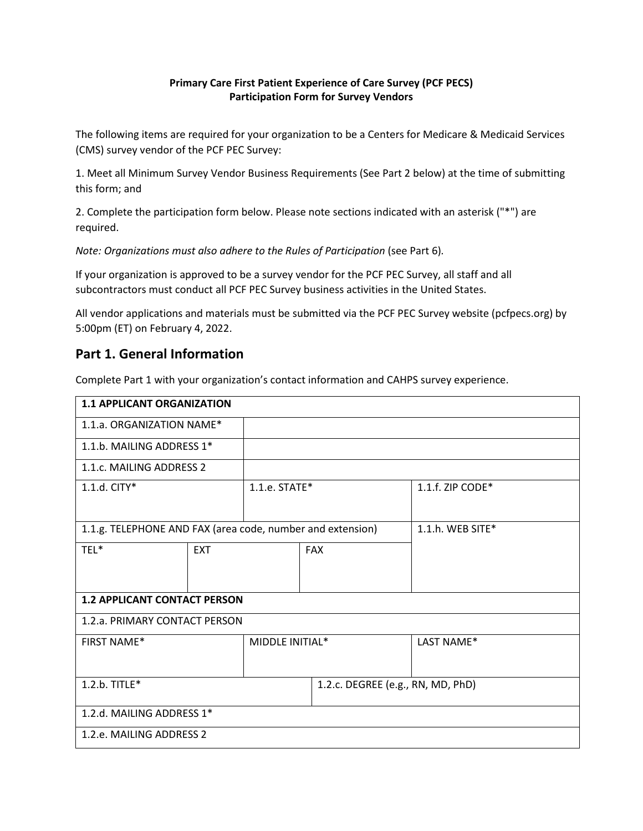#### **Primary Care First Patient Experience of Care Survey (PCF PECS) Participation Form for Survey Vendors**

The following items are required for your organization to be a Centers for Medicare & Medicaid Services (CMS) survey vendor of the PCF PEC Survey:

1. Meet all Minimum Survey Vendor Business Requirements (See Part 2 below) at the time of submitting this form; and

2. Complete the participation form below. Please note sections indicated with an asterisk ("\*") are required.

*Note: Organizations must also adhere to the Rules of Participation* (see Part 6)*.* 

If your organization is approved to be a survey vendor for the PCF PEC Survey, all staff and all subcontractors must conduct all PCF PEC Survey business activities in the United States.

All vendor applications and materials must be submitted via the PCF PEC Survey website (pcfpecs.org) by 5:00pm (ET) on February 4, 2022.

### **Part 1. General Information**

Complete Part 1 with your organization's contact information and CAHPS survey experience.

| <b>1.1 APPLICANT ORGANIZATION</b>                          |            |                    |                                   |                     |
|------------------------------------------------------------|------------|--------------------|-----------------------------------|---------------------|
| 1.1.a. ORGANIZATION NAME*                                  |            |                    |                                   |                     |
| 1.1.b. MAILING ADDRESS 1*                                  |            |                    |                                   |                     |
| 1.1.c. MAILING ADDRESS 2                                   |            |                    |                                   |                     |
| 1.1.d. CITY*                                               |            | $1.1.e.$ STATE $*$ |                                   | 1.1.f. ZIP CODE*    |
|                                                            |            |                    |                                   |                     |
| 1.1.g. TELEPHONE AND FAX (area code, number and extension) |            |                    |                                   | 1.1.h. WEB SITE $*$ |
| TEL*                                                       | <b>EXT</b> |                    | <b>FAX</b>                        |                     |
|                                                            |            |                    |                                   |                     |
| <b>1.2 APPLICANT CONTACT PERSON</b>                        |            |                    |                                   |                     |
| 1.2.a. PRIMARY CONTACT PERSON                              |            |                    |                                   |                     |
| <b>FIRST NAME*</b>                                         |            | MIDDLE INITIAL*    |                                   | LAST NAME*          |
|                                                            |            |                    |                                   |                     |
| 1.2.b. TITLE*                                              |            |                    | 1.2.c. DEGREE (e.g., RN, MD, PhD) |                     |
|                                                            |            |                    |                                   |                     |
| 1.2.d. MAILING ADDRESS 1*                                  |            |                    |                                   |                     |
| 1.2.e. MAILING ADDRESS 2                                   |            |                    |                                   |                     |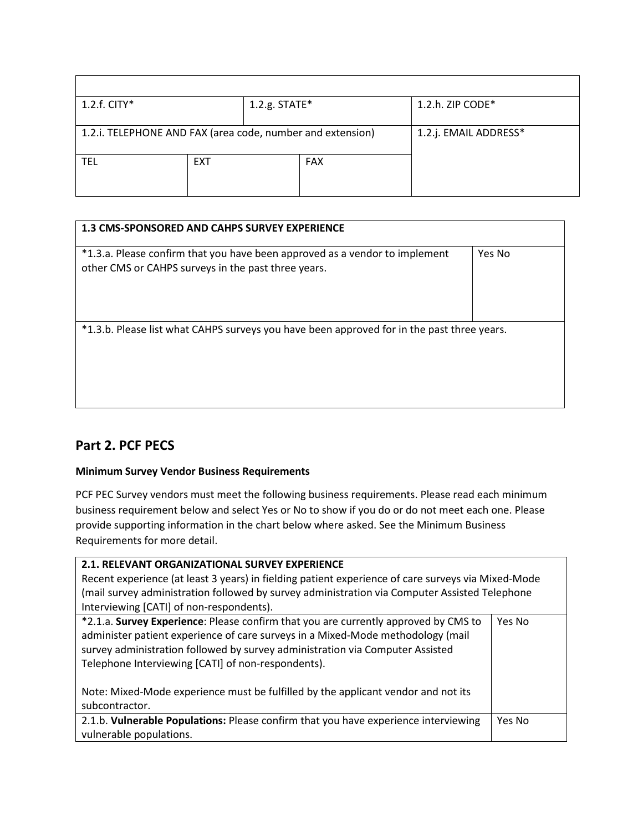| 1.2.h. ZIP CODE*      |
|-----------------------|
|                       |
| 1.2.j. EMAIL ADDRESS* |
|                       |
|                       |

| <b>1.3 CMS-SPONSORED AND CAHPS SURVEY EXPERIENCE</b>                                                                               |        |
|------------------------------------------------------------------------------------------------------------------------------------|--------|
| *1.3.a. Please confirm that you have been approved as a vendor to implement<br>other CMS or CAHPS surveys in the past three years. | Yes No |
| *1.3.b. Please list what CAHPS surveys you have been approved for in the past three years.                                         |        |

## **Part 2. PCF PECS**

#### **Minimum Survey Vendor Business Requirements**

PCF PEC Survey vendors must meet the following business requirements. Please read each minimum business requirement below and select Yes or No to show if you do or do not meet each one. Please provide supporting information in the chart below where asked. See the Minimum Business Requirements for more detail.

| 2.1. RELEVANT ORGANIZATIONAL SURVEY EXPERIENCE                                                                                                                                                                                                                                                                                                                                                     |        |  |
|----------------------------------------------------------------------------------------------------------------------------------------------------------------------------------------------------------------------------------------------------------------------------------------------------------------------------------------------------------------------------------------------------|--------|--|
| Recent experience (at least 3 years) in fielding patient experience of care surveys via Mixed-Mode                                                                                                                                                                                                                                                                                                 |        |  |
| (mail survey administration followed by survey administration via Computer Assisted Telephone                                                                                                                                                                                                                                                                                                      |        |  |
| Interviewing [CATI] of non-respondents).                                                                                                                                                                                                                                                                                                                                                           |        |  |
| *2.1.a. Survey Experience: Please confirm that you are currently approved by CMS to<br>administer patient experience of care surveys in a Mixed-Mode methodology (mail<br>survey administration followed by survey administration via Computer Assisted<br>Telephone Interviewing [CATI] of non-respondents).<br>Note: Mixed-Mode experience must be fulfilled by the applicant vendor and not its | Yes No |  |
| subcontractor.                                                                                                                                                                                                                                                                                                                                                                                     |        |  |
| 2.1.b. Vulnerable Populations: Please confirm that you have experience interviewing<br>vulnerable populations.                                                                                                                                                                                                                                                                                     | Yes No |  |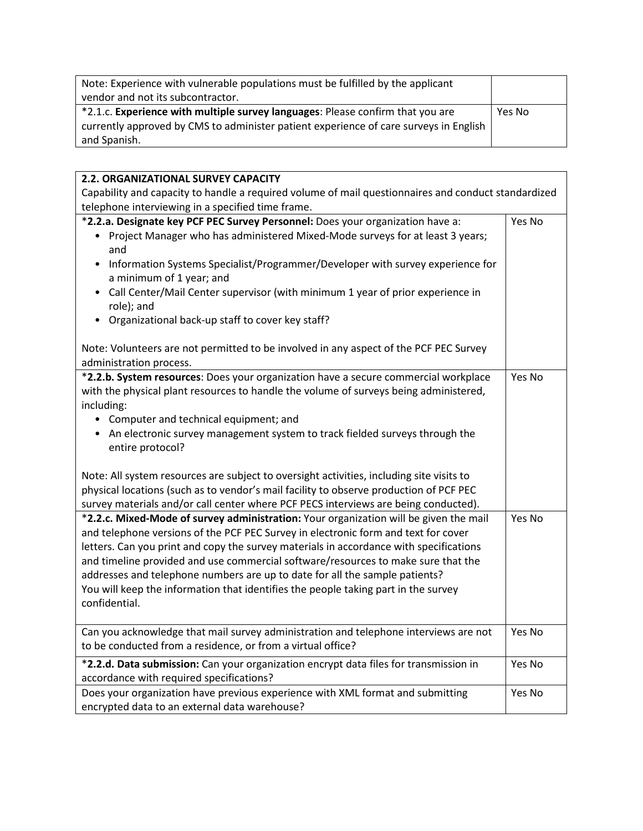| Note: Experience with vulnerable populations must be fulfilled by the applicant       |        |
|---------------------------------------------------------------------------------------|--------|
| vendor and not its subcontractor.                                                     |        |
| *2.1.c. Experience with multiple survey languages: Please confirm that you are        | Yes No |
| currently approved by CMS to administer patient experience of care surveys in English |        |
| and Spanish.                                                                          |        |

'n

| 2.2. ORGANIZATIONAL SURVEY CAPACITY                                                                                                                                                                                                                                                                                                                                                                                                                                                                                                              |        |  |  |  |
|--------------------------------------------------------------------------------------------------------------------------------------------------------------------------------------------------------------------------------------------------------------------------------------------------------------------------------------------------------------------------------------------------------------------------------------------------------------------------------------------------------------------------------------------------|--------|--|--|--|
| Capability and capacity to handle a required volume of mail questionnaires and conduct standardized                                                                                                                                                                                                                                                                                                                                                                                                                                              |        |  |  |  |
| telephone interviewing in a specified time frame.                                                                                                                                                                                                                                                                                                                                                                                                                                                                                                |        |  |  |  |
| *2.2.a. Designate key PCF PEC Survey Personnel: Does your organization have a:<br>• Project Manager who has administered Mixed-Mode surveys for at least 3 years;<br>and<br>Information Systems Specialist/Programmer/Developer with survey experience for<br>a minimum of 1 year; and<br>• Call Center/Mail Center supervisor (with minimum 1 year of prior experience in<br>role); and<br>Organizational back-up staff to cover key staff?<br>$\bullet$                                                                                        | Yes No |  |  |  |
| Note: Volunteers are not permitted to be involved in any aspect of the PCF PEC Survey<br>administration process.                                                                                                                                                                                                                                                                                                                                                                                                                                 |        |  |  |  |
| *2.2.b. System resources: Does your organization have a secure commercial workplace<br>with the physical plant resources to handle the volume of surveys being administered,<br>including:<br>• Computer and technical equipment; and<br>• An electronic survey management system to track fielded surveys through the<br>entire protocol?                                                                                                                                                                                                       | Yes No |  |  |  |
| Note: All system resources are subject to oversight activities, including site visits to<br>physical locations (such as to vendor's mail facility to observe production of PCF PEC<br>survey materials and/or call center where PCF PECS interviews are being conducted).                                                                                                                                                                                                                                                                        |        |  |  |  |
| *2.2.c. Mixed-Mode of survey administration: Your organization will be given the mail<br>and telephone versions of the PCF PEC Survey in electronic form and text for cover<br>letters. Can you print and copy the survey materials in accordance with specifications<br>and timeline provided and use commercial software/resources to make sure that the<br>addresses and telephone numbers are up to date for all the sample patients?<br>You will keep the information that identifies the people taking part in the survey<br>confidential. | Yes No |  |  |  |
| Can you acknowledge that mail survey administration and telephone interviews are not<br>to be conducted from a residence, or from a virtual office?                                                                                                                                                                                                                                                                                                                                                                                              | Yes No |  |  |  |
| *2.2.d. Data submission: Can your organization encrypt data files for transmission in<br>accordance with required specifications?                                                                                                                                                                                                                                                                                                                                                                                                                | Yes No |  |  |  |
| Does your organization have previous experience with XML format and submitting<br>encrypted data to an external data warehouse?                                                                                                                                                                                                                                                                                                                                                                                                                  | Yes No |  |  |  |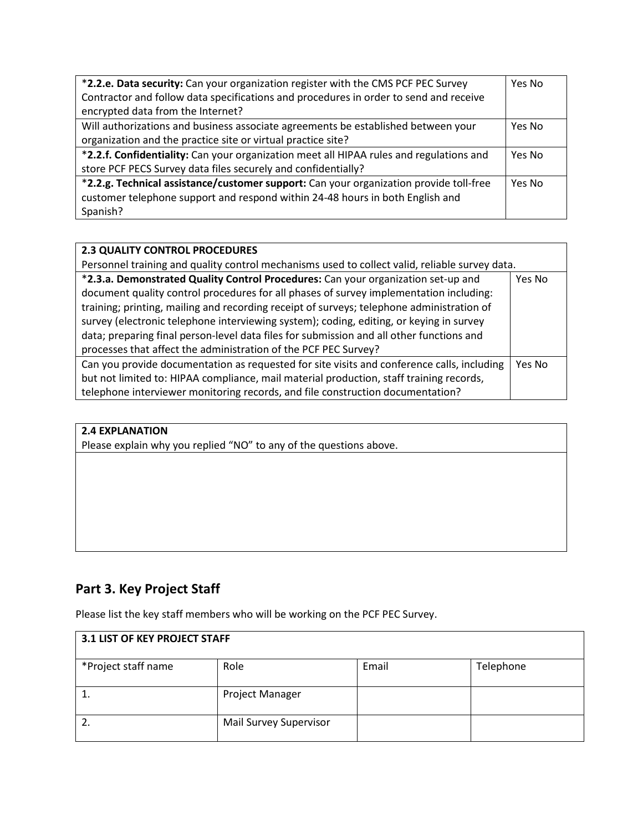| *2.2.e. Data security: Can your organization register with the CMS PCF PEC Survey       | Yes No |  |
|-----------------------------------------------------------------------------------------|--------|--|
| Contractor and follow data specifications and procedures in order to send and receive   |        |  |
| encrypted data from the Internet?                                                       |        |  |
| Will authorizations and business associate agreements be established between your       | Yes No |  |
| organization and the practice site or virtual practice site?                            |        |  |
| *2.2.f. Confidentiality: Can your organization meet all HIPAA rules and regulations and |        |  |
| store PCF PECS Survey data files securely and confidentially?                           |        |  |
| *2.2.g. Technical assistance/customer support: Can your organization provide toll-free  |        |  |
| customer telephone support and respond within 24-48 hours in both English and           |        |  |
| Spanish?                                                                                |        |  |

### **2.3 QUALITY CONTROL PROCEDURES**

| Personnel training and quality control mechanisms used to collect valid, reliable survey data. |        |  |
|------------------------------------------------------------------------------------------------|--------|--|
| *2.3.a. Demonstrated Quality Control Procedures: Can your organization set-up and              | Yes No |  |
| document quality control procedures for all phases of survey implementation including:         |        |  |
| training; printing, mailing and recording receipt of surveys; telephone administration of      |        |  |
| survey (electronic telephone interviewing system); coding, editing, or keying in survey        |        |  |
| data; preparing final person-level data files for submission and all other functions and       |        |  |
| processes that affect the administration of the PCF PEC Survey?                                |        |  |
| Can you provide documentation as requested for site visits and conference calls, including     | Yes No |  |
| but not limited to: HIPAA compliance, mail material production, staff training records,        |        |  |
| telephone interviewer monitoring records, and file construction documentation?                 |        |  |

#### **2.4 EXPLANATION**

Please explain why you replied "NO" to any of the questions above.

# **Part 3. Key Project Staff**

Please list the key staff members who will be working on the PCF PEC Survey.

| <b>3.1 LIST OF KEY PROJECT STAFF</b> |                        |       |           |
|--------------------------------------|------------------------|-------|-----------|
| *Project staff name                  | Role                   | Email | Telephone |
| ᅩ                                    | Project Manager        |       |           |
|                                      | Mail Survey Supervisor |       |           |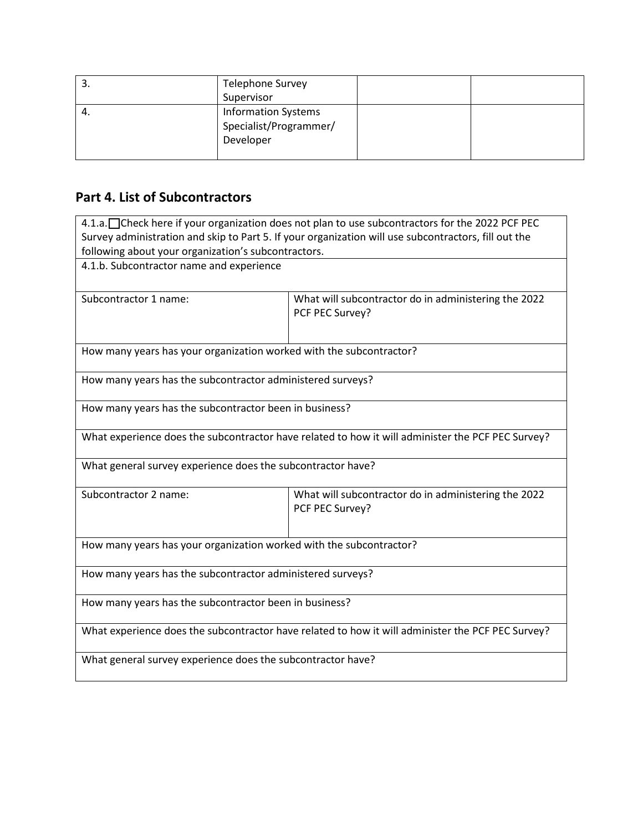| .ر | <b>Telephone Survey</b>                                           |  |
|----|-------------------------------------------------------------------|--|
|    | Supervisor                                                        |  |
| 4. | <b>Information Systems</b><br>Specialist/Programmer/<br>Developer |  |

# **Part 4. List of Subcontractors**

| 4.1.a. Check here if your organization does not plan to use subcontractors for the 2022 PCF PEC      |                                                                         |  |  |  |
|------------------------------------------------------------------------------------------------------|-------------------------------------------------------------------------|--|--|--|
| Survey administration and skip to Part 5. If your organization will use subcontractors, fill out the |                                                                         |  |  |  |
| following about your organization's subcontractors.                                                  |                                                                         |  |  |  |
| 4.1.b. Subcontractor name and experience                                                             |                                                                         |  |  |  |
| Subcontractor 1 name:                                                                                | What will subcontractor do in administering the 2022<br>PCF PEC Survey? |  |  |  |
| How many years has your organization worked with the subcontractor?                                  |                                                                         |  |  |  |
| How many years has the subcontractor administered surveys?                                           |                                                                         |  |  |  |
| How many years has the subcontractor been in business?                                               |                                                                         |  |  |  |
| What experience does the subcontractor have related to how it will administer the PCF PEC Survey?    |                                                                         |  |  |  |
| What general survey experience does the subcontractor have?                                          |                                                                         |  |  |  |
| Subcontractor 2 name:                                                                                | What will subcontractor do in administering the 2022<br>PCF PEC Survey? |  |  |  |
| How many years has your organization worked with the subcontractor?                                  |                                                                         |  |  |  |
| How many years has the subcontractor administered surveys?                                           |                                                                         |  |  |  |
| How many years has the subcontractor been in business?                                               |                                                                         |  |  |  |
| What experience does the subcontractor have related to how it will administer the PCF PEC Survey?    |                                                                         |  |  |  |
| What general survey experience does the subcontractor have?                                          |                                                                         |  |  |  |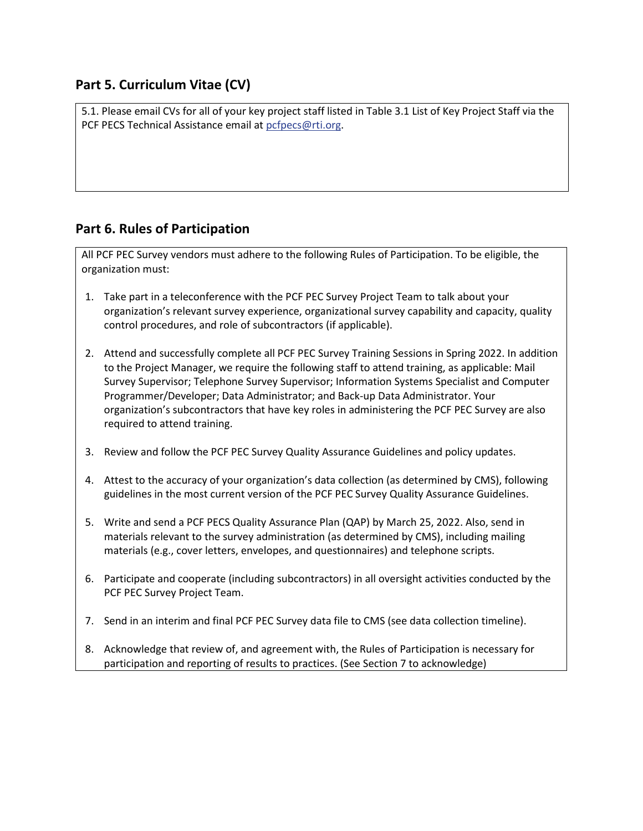## **Part 5. Curriculum Vitae (CV)**

5.1. Please email CVs for all of your key project staff listed in Table 3.1 List of Key Project Staff via the PCF PECS Technical Assistance email at [pcfpecs@rti.org.](mailto:pcfpecs@rti.org)

## **Part 6. Rules of Participation**

All PCF PEC Survey vendors must adhere to the following Rules of Participation. To be eligible, the organization must:

- 1. Take part in a teleconference with the PCF PEC Survey Project Team to talk about your organization's relevant survey experience, organizational survey capability and capacity, quality control procedures, and role of subcontractors (if applicable).
- 2. Attend and successfully complete all PCF PEC Survey Training Sessions in Spring 2022. In addition to the Project Manager, we require the following staff to attend training, as applicable: Mail Survey Supervisor; Telephone Survey Supervisor; Information Systems Specialist and Computer Programmer/Developer; Data Administrator; and Back-up Data Administrator. Your organization's subcontractors that have key roles in administering the PCF PEC Survey are also required to attend training.
- 3. Review and follow the PCF PEC Survey Quality Assurance Guidelines and policy updates.
- 4. Attest to the accuracy of your organization's data collection (as determined by CMS), following guidelines in the most current version of the PCF PEC Survey Quality Assurance Guidelines.
- 5. Write and send a PCF PECS Quality Assurance Plan (QAP) by March 25, 2022. Also, send in materials relevant to the survey administration (as determined by CMS), including mailing materials (e.g., cover letters, envelopes, and questionnaires) and telephone scripts.
- 6. Participate and cooperate (including subcontractors) in all oversight activities conducted by the PCF PEC Survey Project Team.
- 7. Send in an interim and final PCF PEC Survey data file to CMS (see data collection timeline).
- 8. Acknowledge that review of, and agreement with, the Rules of Participation is necessary for participation and reporting of results to practices. (See Section 7 to acknowledge)